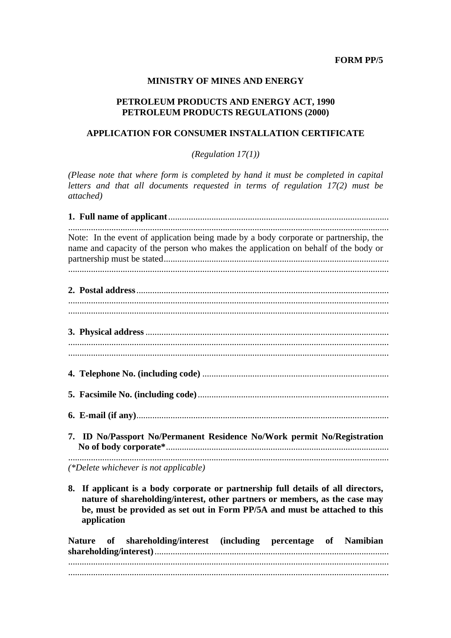### **FORM PP/5**

### **MINISTRY OF MINES AND ENERGY**

#### PETROLEUM PRODUCTS AND ENERGY ACT, 1990 PETROLEUM PRODUCTS REGULATIONS (2000)

## APPLICATION FOR CONSUMER INSTALLATION CERTIFICATE

(Regulation  $17(1)$ )

(Please note that where form is completed by hand it must be completed in capital letters and that all documents requested in terms of regulation 17(2) must be attached)

| Note: In the event of application being made by a body corporate or partnership, the<br>name and capacity of the person who makes the application on behalf of the body or                                                                                       |
|------------------------------------------------------------------------------------------------------------------------------------------------------------------------------------------------------------------------------------------------------------------|
|                                                                                                                                                                                                                                                                  |
|                                                                                                                                                                                                                                                                  |
|                                                                                                                                                                                                                                                                  |
|                                                                                                                                                                                                                                                                  |
| 7. ID No/Passport No/Permanent Residence No/Work permit No/Registration                                                                                                                                                                                          |
| (*Delete whichever is not applicable)                                                                                                                                                                                                                            |
| If applicant is a body corporate or partnership full details of all directors,<br>8.<br>nature of shareholding/interest, other partners or members, as the case may<br>be, must be provided as set out in Form PP/5A and must be attached to this<br>application |
| Nature of shareholding/interest (including percentage of Namibian                                                                                                                                                                                                |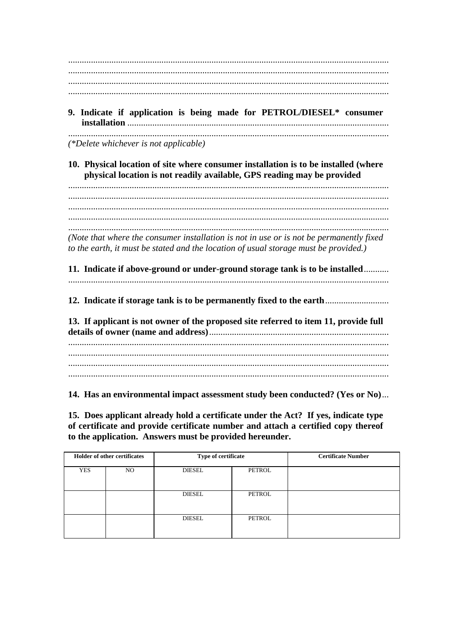9. Indicate if application is being made for PETROL/DIESEL\* consumer 

(\*Delete whichever is not applicable)

10. Physical location of site where consumer installation is to be installed (where physical location is not readily available, GPS reading may be provided

(Note that where the consumer installation is not in use or is not be permanently fixed to the earth, it must be stated and the location of usual storage must be provided.)

11. Indicate if above-ground or under-ground storage tank is to be installed.......... 

12. Indicate if storage tank is to be permanently fixed to the earth................................

13. If applicant is not owner of the proposed site referred to item 11, provide full 

14. Has an environmental impact assessment study been conducted? (Yes or No)...

15. Does applicant already hold a certificate under the Act? If yes, indicate type of certificate and provide certificate number and attach a certified copy thereof to the application. Answers must be provided hereunder.

| <b>Holder of other certificates</b> |    | Type of certificate |        | <b>Certificate Number</b> |
|-------------------------------------|----|---------------------|--------|---------------------------|
| <b>YES</b>                          | NO | <b>DIESEL</b>       | PETROL |                           |
|                                     |    | <b>DIESEL</b>       | PETROL |                           |
|                                     |    | <b>DIESEL</b>       | PETROL |                           |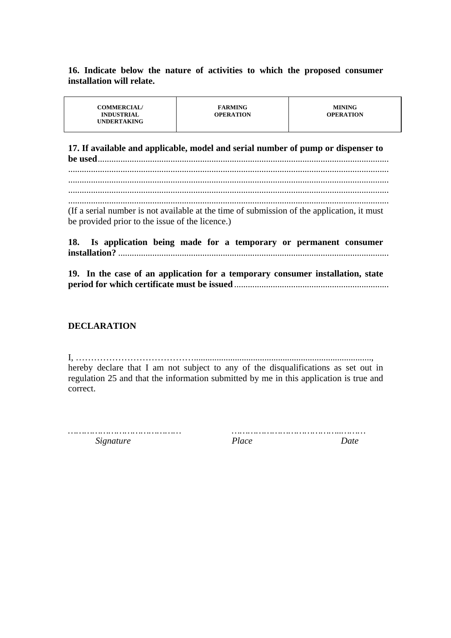**16. Indicate below the nature of activities to which the proposed consumer installation will relate.** 

| <b>UNDERTAKING</b> | <b>COMMERCIAL/</b> | <b>FARMING</b> | <b>MINING</b>    |
|--------------------|--------------------|----------------|------------------|
|                    | <b>INDUSTRIAL</b>  | OPERATION      | <b>OPERATION</b> |

**17. If available and applicable, model and serial number of pump or dispenser to be used**................................................................................................................................

............................................................................................................................................. ............................................................................................................................................. ............................................................................................................................................. ............................................................................................................................................. (If a serial number is not available at the time of submission of the application, it must be provided prior to the issue of the licence.)

**18. Is application being made for a temporary or permanent consumer installation?** .......................................................................................................................

**19. In the case of an application for a temporary consumer installation, state period for which certificate must be issued** ....................................................................

### **DECLARATION**

I, ………………………………….............................................................................., hereby declare that I am not subject to any of the disqualifications as set out in regulation 25 and that the information submitted by me in this application is true and correct.

*…………………………………… …………………………………..……… Signature Place Date*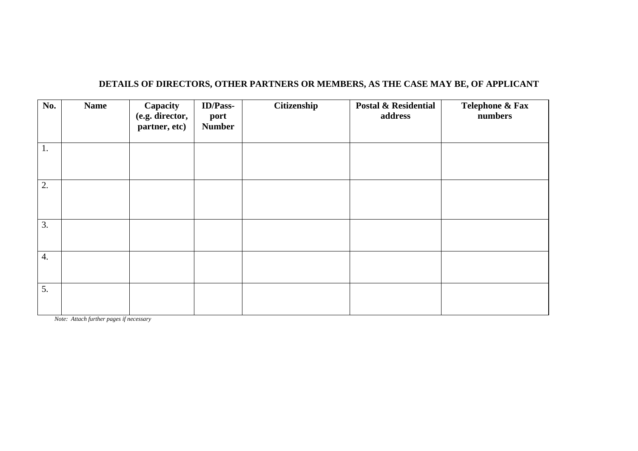| No.              | <b>Name</b> | Capacity<br>(e.g. director,<br>partner, etc) | <b>ID/Pass-</b><br>port<br><b>Number</b> | Citizenship | <b>Postal &amp; Residential</b><br>address | Telephone & Fax<br>numbers |
|------------------|-------------|----------------------------------------------|------------------------------------------|-------------|--------------------------------------------|----------------------------|
| 1.               |             |                                              |                                          |             |                                            |                            |
| 2.               |             |                                              |                                          |             |                                            |                            |
| 3.               |             |                                              |                                          |             |                                            |                            |
| $\overline{4}$ . |             |                                              |                                          |             |                                            |                            |
| 5.               |             |                                              |                                          |             |                                            |                            |

# **DETAILS OF DIRECTORS, OTHER PARTNERS OR MEMBERS, AS THE CASE MAY BE, OF APPLICANT**

*Note: Attach further pages if necessary*